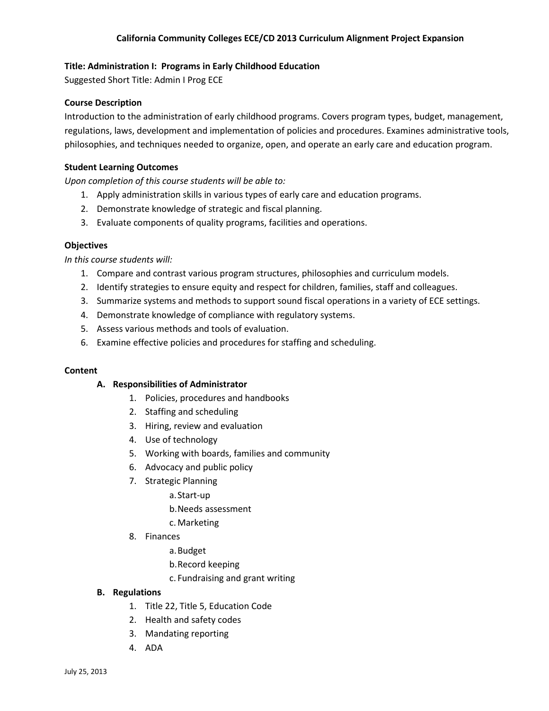## **Title: Administration I: Programs in Early Childhood Education**

Suggested Short Title: Admin I Prog ECE

## **Course Description**

Introduction to the administration of early childhood programs. Covers program types, budget, management, regulations, laws, development and implementation of policies and procedures. Examines administrative tools, philosophies, and techniques needed to organize, open, and operate an early care and education program.

### **Student Learning Outcomes**

*Upon completion of this course students will be able to:*

- 1. Apply administration skills in various types of early care and education programs.
- 2. Demonstrate knowledge of strategic and fiscal planning.
- 3. Evaluate components of quality programs, facilities and operations.

### **Objectives**

*In this course students will:*

- 1. Compare and contrast various program structures, philosophies and curriculum models.
- 2. Identify strategies to ensure equity and respect for children, families, staff and colleagues.
- 3. Summarize systems and methods to support sound fiscal operations in a variety of ECE settings.
- 4. Demonstrate knowledge of compliance with regulatory systems.
- 5. Assess various methods and tools of evaluation.
- 6. Examine effective policies and procedures for staffing and scheduling.

### **Content**

### **A. Responsibilities of Administrator**

- 1. Policies, procedures and handbooks
- 2. Staffing and scheduling
- 3. Hiring, review and evaluation
- 4. Use of technology
- 5. Working with boards, families and community
- 6. Advocacy and public policy
- 7. Strategic Planning
	- a.Start‐up
	- b.Needs assessment
	- c.Marketing
- 8. Finances
	- a.Budget
	- b.Record keeping
	- c. Fundraising and grant writing

### **B. Regulations**

- 1. Title 22, Title 5, Education Code
- 2. Health and safety codes
- 3. Mandating reporting
- 4. ADA